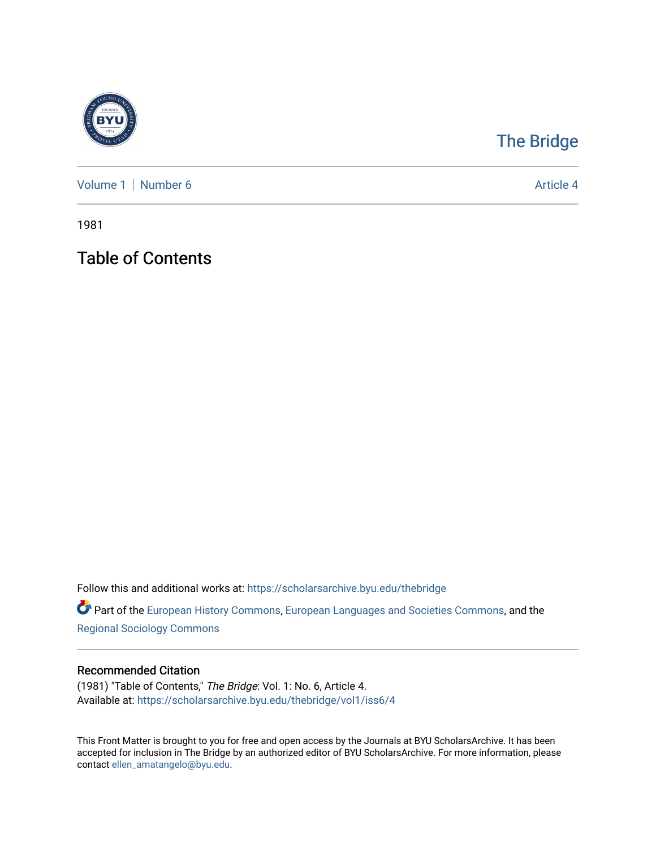

## [The Bridge](https://scholarsarchive.byu.edu/thebridge)

[Volume 1](https://scholarsarchive.byu.edu/thebridge/vol1) | [Number 6](https://scholarsarchive.byu.edu/thebridge/vol1/iss6) Article 4

1981

Table of Contents

Follow this and additional works at: [https://scholarsarchive.byu.edu/thebridge](https://scholarsarchive.byu.edu/thebridge?utm_source=scholarsarchive.byu.edu%2Fthebridge%2Fvol1%2Fiss6%2F4&utm_medium=PDF&utm_campaign=PDFCoverPages) 

**Part of the [European History Commons](http://network.bepress.com/hgg/discipline/492?utm_source=scholarsarchive.byu.edu%2Fthebridge%2Fvol1%2Fiss6%2F4&utm_medium=PDF&utm_campaign=PDFCoverPages), [European Languages and Societies Commons,](http://network.bepress.com/hgg/discipline/482?utm_source=scholarsarchive.byu.edu%2Fthebridge%2Fvol1%2Fiss6%2F4&utm_medium=PDF&utm_campaign=PDFCoverPages) and the** [Regional Sociology Commons](http://network.bepress.com/hgg/discipline/427?utm_source=scholarsarchive.byu.edu%2Fthebridge%2Fvol1%2Fiss6%2F4&utm_medium=PDF&utm_campaign=PDFCoverPages) 

## Recommended Citation

(1981) "Table of Contents," The Bridge: Vol. 1: No. 6, Article 4. Available at: [https://scholarsarchive.byu.edu/thebridge/vol1/iss6/4](https://scholarsarchive.byu.edu/thebridge/vol1/iss6/4?utm_source=scholarsarchive.byu.edu%2Fthebridge%2Fvol1%2Fiss6%2F4&utm_medium=PDF&utm_campaign=PDFCoverPages)

This Front Matter is brought to you for free and open access by the Journals at BYU ScholarsArchive. It has been accepted for inclusion in The Bridge by an authorized editor of BYU ScholarsArchive. For more information, please contact [ellen\\_amatangelo@byu.edu.](mailto:ellen_amatangelo@byu.edu)